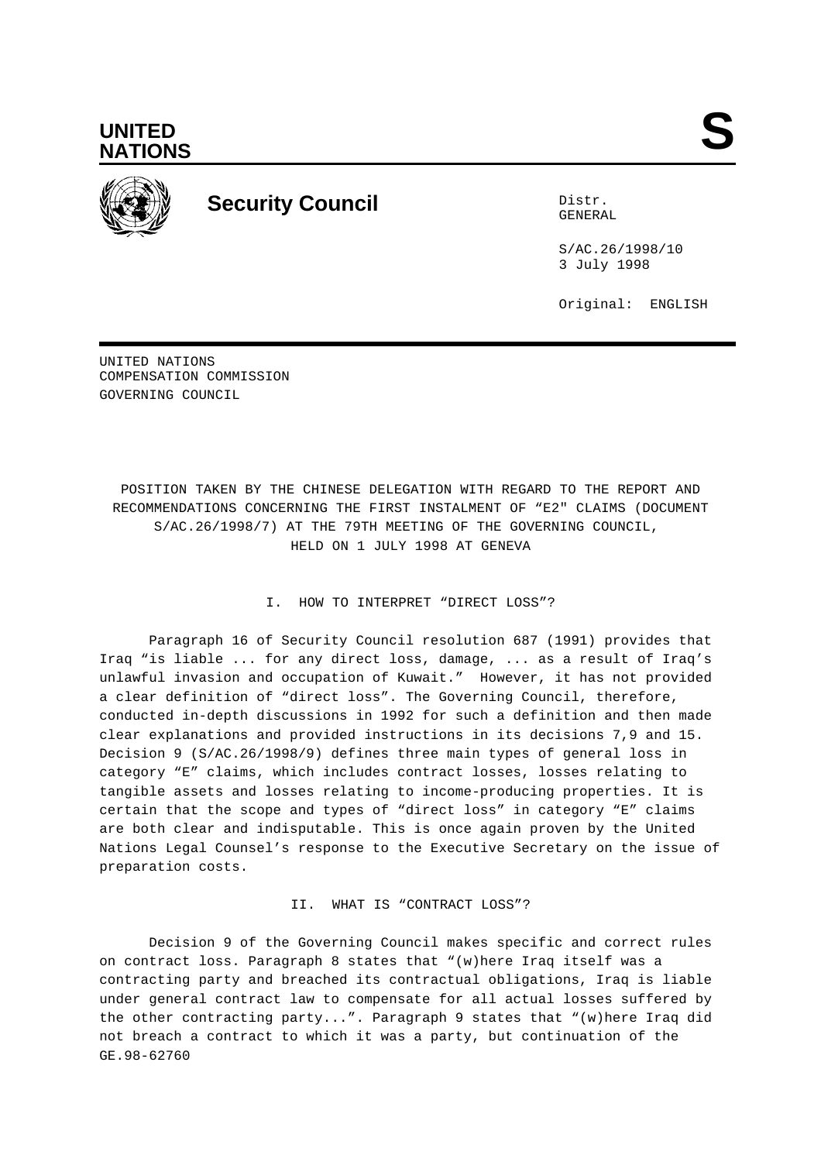



## **Security Council** Distr.

GENERAL

S/AC.26/1998/10 3 July 1998

Original: ENGLISH

UNITED NATIONS COMPENSATION COMMISSION GOVERNING COUNCIL

POSITION TAKEN BY THE CHINESE DELEGATION WITH REGARD TO THE REPORT AND RECOMMENDATIONS CONCERNING THE FIRST INSTALMENT OF "E2" CLAIMS (DOCUMENT S/AC.26/1998/7) AT THE 79TH MEETING OF THE GOVERNING COUNCIL, HELD ON 1 JULY 1998 AT GENEVA

## I. HOW TO INTERPRET "DIRECT LOSS"?

Paragraph 16 of Security Council resolution 687 (1991) provides that Iraq "is liable ... for any direct loss, damage, ... as a result of Iraq's unlawful invasion and occupation of Kuwait." However, it has not provided a clear definition of "direct loss". The Governing Council, therefore, conducted in-depth discussions in 1992 for such a definition and then made clear explanations and provided instructions in its decisions 7,9 and 15. Decision 9 (S/AC.26/1998/9) defines three main types of general loss in category "E" claims, which includes contract losses, losses relating to tangible assets and losses relating to income-producing properties. It is certain that the scope and types of "direct loss" in category "E" claims are both clear and indisputable. This is once again proven by the United Nations Legal Counsel's response to the Executive Secretary on the issue of preparation costs.

II. WHAT IS "CONTRACT LOSS"?

Decision 9 of the Governing Council makes specific and correct rules on contract loss. Paragraph 8 states that "(w)here Iraq itself was a contracting party and breached its contractual obligations, Iraq is liable under general contract law to compensate for all actual losses suffered by the other contracting party...". Paragraph 9 states that "(w)here Iraq did not breach a contract to which it was a party, but continuation of the GE.98-62760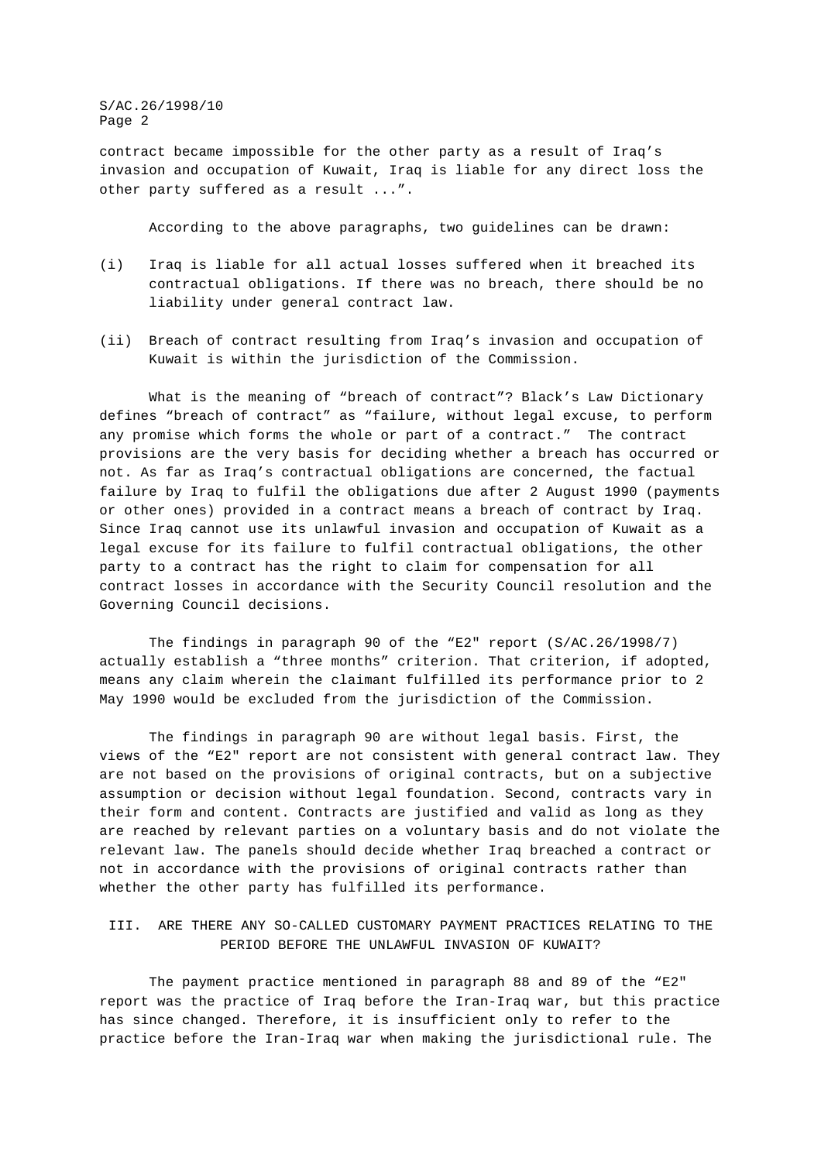S/AC.26/1998/10 Page 2

contract became impossible for the other party as a result of Iraq's invasion and occupation of Kuwait, Iraq is liable for any direct loss the other party suffered as a result ...".

According to the above paragraphs, two guidelines can be drawn:

- (i) Iraq is liable for all actual losses suffered when it breached its contractual obligations. If there was no breach, there should be no liability under general contract law.
- (ii) Breach of contract resulting from Iraq's invasion and occupation of Kuwait is within the jurisdiction of the Commission.

What is the meaning of "breach of contract"? Black's Law Dictionary defines "breach of contract" as "failure, without legal excuse, to perform any promise which forms the whole or part of a contract." The contract provisions are the very basis for deciding whether a breach has occurred or not. As far as Iraq's contractual obligations are concerned, the factual failure by Iraq to fulfil the obligations due after 2 August 1990 (payments or other ones) provided in a contract means a breach of contract by Iraq. Since Iraq cannot use its unlawful invasion and occupation of Kuwait as a legal excuse for its failure to fulfil contractual obligations, the other party to a contract has the right to claim for compensation for all contract losses in accordance with the Security Council resolution and the Governing Council decisions.

The findings in paragraph 90 of the "E2" report (S/AC.26/1998/7) actually establish a "three months" criterion. That criterion, if adopted, means any claim wherein the claimant fulfilled its performance prior to 2 May 1990 would be excluded from the jurisdiction of the Commission.

The findings in paragraph 90 are without legal basis. First, the views of the "E2" report are not consistent with general contract law. They are not based on the provisions of original contracts, but on a subjective assumption or decision without legal foundation. Second, contracts vary in their form and content. Contracts are justified and valid as long as they are reached by relevant parties on a voluntary basis and do not violate the relevant law. The panels should decide whether Iraq breached a contract or not in accordance with the provisions of original contracts rather than whether the other party has fulfilled its performance.

III. ARE THERE ANY SO-CALLED CUSTOMARY PAYMENT PRACTICES RELATING TO THE PERIOD BEFORE THE UNLAWFUL INVASION OF KUWAIT?

The payment practice mentioned in paragraph 88 and 89 of the "E2" report was the practice of Iraq before the Iran-Iraq war, but this practice has since changed. Therefore, it is insufficient only to refer to the practice before the Iran-Iraq war when making the jurisdictional rule. The